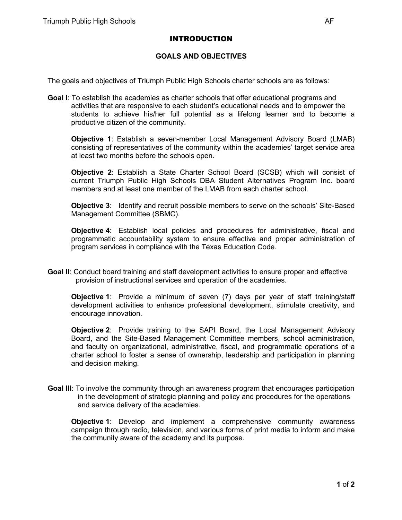## INTRODUCTION

## **GOALS AND OBJECTIVES**

The goals and objectives of Triumph Public High Schools charter schools are as follows:

**Goal I**: To establish the academies as charter schools that offer educational programs and activities that are responsive to each student's educational needs and to empower the students to achieve his/her full potential as a lifelong learner and to become a productive citizen of the community.

**Objective 1**: Establish a seven-member Local Management Advisory Board (LMAB) consisting of representatives of the community within the academies' target service area at least two months before the schools open.

**Objective 2**: Establish a State Charter School Board (SCSB) which will consist of current Triumph Public High Schools DBA Student Alternatives Program Inc. board members and at least one member of the LMAB from each charter school.

**Objective 3**: Identify and recruit possible members to serve on the schools' Site-Based Management Committee (SBMC).

**Objective 4**: Establish local policies and procedures for administrative, fiscal and programmatic accountability system to ensure effective and proper administration of program services in compliance with the Texas Education Code.

**Goal II**: Conduct board training and staff development activities to ensure proper and effective provision of instructional services and operation of the academies.

**Objective 1**: Provide a minimum of seven (7) days per year of staff training/staff development activities to enhance professional development, stimulate creativity, and encourage innovation.

**Objective 2**: Provide training to the SAPI Board, the Local Management Advisory Board, and the Site-Based Management Committee members, school administration, and faculty on organizational, administrative, fiscal, and programmatic operations of a charter school to foster a sense of ownership, leadership and participation in planning and decision making.

**Goal III**: To involve the community through an awareness program that encourages participation in the development of strategic planning and policy and procedures for the operations and service delivery of the academies.

**Objective 1**: Develop and implement a comprehensive community awareness campaign through radio, television, and various forms of print media to inform and make the community aware of the academy and its purpose.